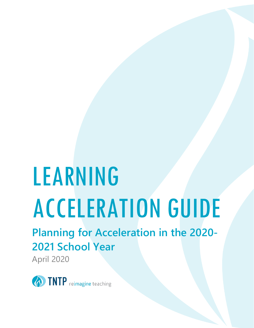# LEARNING ACCELERATION GUIDE

**Planning for Acceleration in the 2020- 2021 School Year**

April 2020

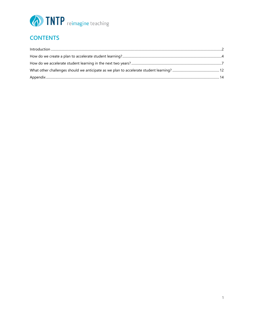

### **CONTENTS**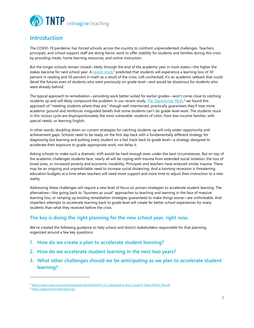

#### **Introduction**

The COVID-19 pandemic has forced schools across the country to confront unprecedented challenges. Teachers, principals, and school support staff are doing heroic work to offer stability for students and families during this crisis by providing meals, home learning resources, and online instruction.

But the longer schools remain closed—likely through the end of the academic year in most states—the higher the stakes become for next school year. A recent study<sup>1</sup> predicted that students will experience a learning loss of 30 percent in reading and 50 percent in math as a result of the crisis. Left unchecked, it's an academic setback that could derail the futures even of students who were previously on grade level—and would be disastrous for students who were already behind.

The typical approach to remediation—providing work better suited for earlier grades—won't come close to catching students up and will likely compound the problem. In our recent study, *The Opportunity Myth*, <sup>2</sup> we found this approach of "meeting students where they are," though well intentioned, practically guarantees they'll lose more academic ground and reinforces misguided beliefs that some students can't do grade-level work. The students stuck in this vicious cycle are disproportionately the most vulnerable: students of color, from low-income families, with special needs, or learning English.

In other words, doubling down on current strategies for catching students up will only widen opportunity and achievement gaps. Schools need to be ready on the first day back with a fundamentally different strategy for diagnosing lost learning and putting every student on a fast track back to grade level—a strategy designed to accelerate their exposure to grade-appropriate work, not delay it.

Asking schools to make such a dramatic shift would be hard enough even under the best circumstances. But on top of the academic challenges students face, nearly all will be coping with trauma from extended social isolation, the loss of loved ones, or increased poverty and economic instability. Principals and teachers have endured similar trauma. There may be an ongoing and unpredictable need to increase social distancing. And a looming recession is threatening education budgets at a time when teachers will need more support and more time to adjust their instruction to a new reality.

Addressing these challenges will require a new level of focus on proven strategies to accelerate student learning. The alternatives—like going back to "business as usual" approaches to teaching and learning in the face of massive learning loss, or ramping up existing remediation strategies guaranteed to make things worse—are unthinkable. And imperfect attempts to accelerate learning back to grade level will create far better school experiences for many students than what they received before the crisis.

#### **The key is doing the right planning for the new school year, right now.**

We've created the following guidance to help school and district stakeholders responsible for that planning, organized around a few key questions:

- **1. How do we create a plan to accelerate student learning?**
- **2. How do we accelerate student learning in the next two years?**
- **3. What other challenges should we be anticipating as we plan to accelerate student learning?**

<sup>1</sup> https://www.nwea.org/content/uploads/2020/04/KAP5122-Collaborative-Brief\_Covid19-Slide-APR20\_FW.pdf.<br><sup>2</sup> https://opportunitymyth.tntp.org/.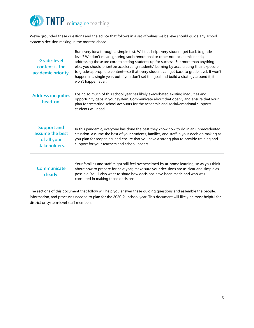

We've grounded these questions and the advice that follows in a set of values we believe should guide any school system's decision making in the months ahead:

| <b>Grade-level</b><br>content is the<br>academic priority.            | Run every idea through a simple test: Will this help every student get back to grade<br>level? We don't mean ignoring social/emotional or other non-academic needs;<br>addressing those are core to setting students up for success. But more than anything<br>else, you should prioritize accelerating students' learning by accelerating their exposure<br>to grade-appropriate content-so that every student can get back to grade level. It won't<br>happen in a single year, but if you don't set the goal and build a strategy around it, it<br>won't happen at all. |
|-----------------------------------------------------------------------|----------------------------------------------------------------------------------------------------------------------------------------------------------------------------------------------------------------------------------------------------------------------------------------------------------------------------------------------------------------------------------------------------------------------------------------------------------------------------------------------------------------------------------------------------------------------------|
| <b>Address inequities</b><br>head-on.                                 | Losing so much of this school year has likely exacerbated existing inequities and<br>opportunity gaps in your system. Communicate about that openly and ensure that your<br>plan for restarting school accounts for the academic and social/emotional supports<br>students will need.                                                                                                                                                                                                                                                                                      |
| <b>Support and</b><br>assume the best<br>of all your<br>stakeholders. | In this pandemic, everyone has done the best they know how to do in an unprecedented<br>situation. Assume the best of your students, families, and staff in your decision making as<br>you plan for reopening, and ensure that you have a strong plan to provide training and<br>support for your teachers and school leaders.                                                                                                                                                                                                                                             |
| Communicate<br>clearly.                                               | Your families and staff might still feel overwhelmed by at-home learning, so as you think<br>about how to prepare for next year, make sure your decisions are as clear and simple as<br>possible. You'll also want to share how decisions have been made and who was<br>consulted in making those decisions.                                                                                                                                                                                                                                                               |

The sections of this document that follow will help you answer these guiding questions and assemble the people, information, and processes needed to plan for the 2020-21 school year. This document will likely be most helpful for district or system-level staff members.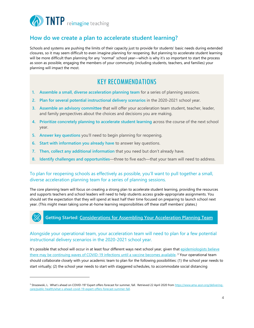

#### **How do we create a plan to accelerate student learning?**

Schools and systems are pushing the limits of their capacity just to provide for students' basic needs during extended closures, so it may seem difficult to even imagine planning for reopening. But planning to accelerate student learning will be more difficult than planning for any "normal" school year—which is why it's so important to start the process as soon as possible, engaging the members of your community (including students, teachers, and families) your planning will impact the most.

#### KEY RECOMMENDATIONS

- **1. Assemble a small, diverse acceleration planning team** for a series of planning sessions.
- **2. Plan for several potential instructional delivery scenarios** in the 2020-2021 school year.
- **3. Assemble an advisory committee** that will offer your acceleration team student, teacher, leader, and family perspectives about the choices and decisions you are making.
- **4. Prioritize concretely planning to accelerate student learning** across the course of the next school year.
- **5. Answer key questions** you'll need to begin planning for reopening.
- **6. Start with information you already have** to answer key questions.
- **7. Then, collect any additional information** that you need but don't already have.
- **8. Identify challenges and opportunities**—three to five each—that your team will need to address.

#### To plan for reopening schools as effectively as possible, you'll want to pull together a small, diverse acceleration planning team for a series of planning sessions.

The core planning team will focus on creating a strong plan to accelerate student learning, providing the resources and supports teachers and school leaders will need to help students access grade-appropriate assignments. You should set the expectation that they will spend at least half their time focused on preparing to launch school next year. (This might mean taking some at-home learning responsibilities off these staff members' plates.)

#### **Getting Started: Considerations for Assembling Your Acceleration Planning Team**

#### Alongside your operational team, your acceleration team will need to plan for a few potential instructional delivery scenarios in the 2020-2021 school year.

It's possible that school will occur in at least four different ways next school year, given that epidemiologists believe there may be continuing waves of COVID-19 infections until a vaccine becomes available.<sup>3</sup> Your operational team should collaborate closely with your academic team to plan for the following possibilities: (1) the school year needs to start virtually; (2) the school year needs to start with staggered schedules, to accommodate social distancing

<sup>&</sup>lt;sup>3</sup> Strazewski, L. What's ahead on COVID-19? Expert offers forecast for summer, fall. Retrieved 22 April 2020 from https://www.ama-assn.org/deliveringcare/public-health/what-s-ahead-covid-19-expert-offers-forecast-summer-fall.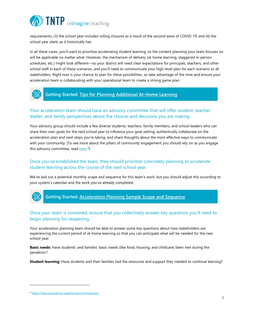

requirements; (3) the school year includes rolling closures as a result of the second wave of COVID-19; and (4) the school year starts as it historically has.

In all these cases, you'll want to prioritize accelerating student learning, so the content planning your team focuses on will be applicable no matter what. However, the mechanism of delivery (at-home learning, staggered in-person schedules, etc.) might look different—so your district will need clear expectations for principals, teachers, and other school staff in each of these scenarios, and you'll need to communicate your high-level plan for each scenario to all stakeholders. Right now is your chance to plan for these possibilities, so take advantage of the time and ensure your acceleration team is collaborating with your operational team to create a strong game plan.



#### **Getting Started: Tips for Planning Additional At-Home Learning**

#### Your acceleration team should have an advisory committee that will offer student, teacher, leader, and family perspectives about the choices and decisions you are making.

Your advisory group should include a few diverse students, teachers, family members, and school leaders who can share their own goals for the next school year to influence your goal-setting, authentically collaborate on the acceleration plan and next steps you're taking, and share thoughts about the most effective ways to communicate with your community. (To see more about the pillars of community engagement you should rely on as you engage this advisory committee, read here.<sup>4</sup>)

#### Once you've established the team, they should prioritize concretely planning to accelerate student learning across the course of the next school year.

We've laid out a potential monthly scope and sequence for this team's work, but you should adjust this according to your system's calendar and the work you've already completed.



#### Once your team is convened, ensure that you collectively answer key questions you'll need to begin planning for reopening.

Your acceleration planning team should be able to answer some key questions about how stakeholders are experiencing the current period of at-home learning so that you can anticipate what will be needed for the new school year:

**Basic needs:** Have students' and families' basic needs (like food, housing, and childcare) been met during the pandemic?

**Student learning:** Have students and their families had the resources and support they needed to continue learning?

<sup>4</sup> https://tntp.org/walking-together/story/Introduction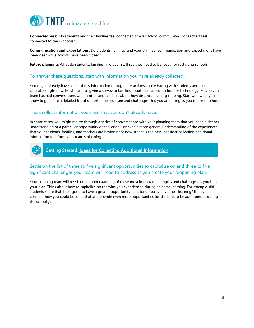

**Connectedness:** Do students and their families feel connected to your school community? Do teachers feel connected to their schools?

**Communication and expectations:** Do students, families, and your staff feel communication and expectations have been clear while schools have been closed?

**Future planning:** What do students, families, and your staff say they need to be ready for restarting school?

#### To answer these questions, start with information you have already collected.

You might already have some of this information through interactions you're having with students and their caretakers right now. Maybe you've given a survey to families about their access to food or technology. Maybe your team has had conversations with families and teachers about how distance learning is going. Start with what you know to generate a detailed list of opportunities you see and challenges that you are facing as you return to school.

#### Then, collect information you need that you don't already have.

In some cases, you might realize through a series of conversations with your planning team that you need a deeper understanding of a particular opportunity or challenge—or even a more general understanding of the experiences that your students, families, and teachers are having right now. If that is the case, consider collecting additional information to inform your team's planning.



**Getting Started: Ideas for Collecting Additional Information**

#### Settle on the list of three to five significant opportunities to capitalize on and three to five significant challenges your team will need to address as you create your reopening plan.

Your planning team will need a clear understanding of these most important strengths and challenges as you build your plan. Think about how to capitalize on the wins you experienced during at-home learning. For example, did students share that it felt good to have a greater opportunity to autonomously drive their learning? If they did, consider how you could build on that and provide even more opportunities for students to be autonomous during the school year.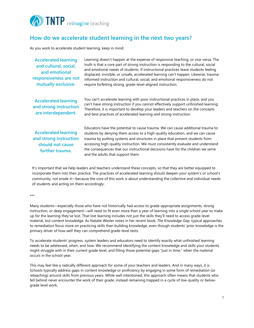

#### **How do we accelerate student learning in the next two years?**

As you work to accelerate student learning, keep in mind:

| <b>Accelerated learning</b><br>and cultural, social,<br>and emotional<br>responsiveness are not<br>mutually exclusive. | Learning doesn't happen at the expense of responsive teaching, or vice-versa. The<br>truth is that a core part of strong instruction is responding to the cultural, social<br>and emotional needs of students. If instructional practices leave students feeling<br>displaced, invisible, or unsafe, accelerated learning can't happen. Likewise, trauma-<br>informed instruction and cultural, social, and emotional responsiveness do not<br>require forfeiting strong, grade-level-aligned instruction. |
|------------------------------------------------------------------------------------------------------------------------|------------------------------------------------------------------------------------------------------------------------------------------------------------------------------------------------------------------------------------------------------------------------------------------------------------------------------------------------------------------------------------------------------------------------------------------------------------------------------------------------------------|
| <b>Accelerated learning</b><br>and strong instruction<br>are interdependent.                                           | You can't accelerate learning with poor instructional practices in place, and you<br>can't have strong instruction if you cannot effectively support unfinished learning.<br>Therefore, it is important to develop your leaders and teachers on the concepts<br>and best practices of accelerated learning and strong instruction.                                                                                                                                                                         |
| <b>Accelerated learning</b><br>and strong instruction<br>should not cause<br>further trauma.                           | Educators have the potential to cause trauma. We can cause additional trauma to<br>students by denying them access to a high-quality education, and we can cause<br>trauma by putting systems and structures in place that prevent students from<br>accessing high-quality instruction. We must consistently evaluate and understand<br>the consequences that our instructional decisions have for the children we serve<br>and the adults that support them.                                              |

It's important that we help leaders and teachers understand these concepts, so that they are better equipped to incorporate them into their practice. The practices of accelerated learning should deepen your system's or school's community, not erode it—because the core of this work is about understanding the collective and individual needs of students and acting on them accordingly.

#### \*\*\*

Many students—especially those who have not historically had access to grade-appropriate assignments, strong instruction, or deep engagement—will need to fit even more than a year of learning into a single school year to make up for the learning they've lost. That lost learning includes not just the skills they'll need to access grade-level material, but content knowledge. As Natalie Wexler notes in her recent book, *The Knowledge Gap*, typical approaches to remediation focus more on practicing skills than building knowledge, even though students' prior knowledge is the primary driver of how well they can comprehend grade-level texts.

To accelerate students' progress, system leaders and educators need to identify exactly what unfinished learning needs to be addressed, when, and how. We recommend identifying the content knowledge and skills your students might struggle with in their current grade level, and filling those potential gaps "just in time," when the material occurs in the school year.

This may feel like a radically different approach for some of your teachers and leaders. And in many ways, it is. Schools typically address gaps in content knowledge or proficiency by engaging in some form of remediation (or reteaching) around skills from previous years. While well intentioned, this approach often means that students who fell behind never encounter the work of their grade, instead remaining trapped in a cycle of low-quality or belowgrade level work.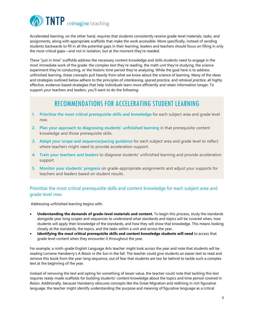

Accelerated learning, on the other hand, requires that students consistently receive grade-level materials, tasks, and assignments, along with appropriate scaffolds that make the work accessible. More specifically, instead of sending students backwards to fill in all the potential gaps in their learning, leaders and teachers should focus on filling in only the most critical gaps—and not in isolation, but at the moment they're needed.

These "just in time" scaffolds address the necessary content knowledge and skills students need to engage in the most immediate work of the grade: the complex text they're reading, the math unit they're studying, the science experiment they're conducting, or the historic time period they're analyzing. While the goal here is to address unfinished learning, these concepts pull heavily from what we know about the science of learning. Many of the ideas and strategies outlined below adhere to the principles of *interleaving, spaced practice,* and *retrieval practice,* all highly effective, evidence-based strategies that help individuals learn more efficiently and retain information longer. To support your teachers and leaders, you'll want to do the following:

#### RECOMMENDATIONS FOR ACCELERATING STUDENT LEARNING

- **1. Prioritize the most critical prerequisite skills and knowledge** for each subject area and grade level *now.*
- **2. Plan your approach to diagnosing students' unfinished learning** in that prerequisite content knowledge and those prerequisite skills.
- **3. Adapt your scope and sequence/pacing guidance** for each subject area and grade level to reflect where teachers might need to provide acceleration support.
- **4. Train your teachers and leaders** to diagnose students' unfinished learning and provide acceleration support.
- **5. Monitor your students' progress** on grade-appropriate assignments and adjust your supports for teachers and leaders based on student results.

#### Prioritize the most critical prerequisite skills and content knowledge for each subject area and grade level *now.*

Addressing unfinished learning begins with:

- **Understanding the demands of grade-level materials and content.** To begin this process, study the standards alongside year-long scopes and sequences to understand what standards and topics will be covered when, how students will apply their knowledge of the standards, and how they will show that knowledge. This means looking closely at the standards, the topics, and the tasks within a unit and across the year.
- **Identifying the most critical prerequisite skills and content knowledge students will need** to access that grade level content when they encounter it throughout the year.

For example, a ninth-grade English Language Arts teacher might look across the year and note that students will be reading Lorraine Hansberry's *A Raisin in the Sun* in the fall. The teacher could give students an easier text to read and remove this book from the year-long sequence, out of fear that students are too far behind to tackle such a complex text at the beginning of the year.

Instead of removing the text and opting for something of lesser value, the teacher could note that tackling this text requires ready-made scaffolds for building students' content knowledge about the topics and time period covered in *Raisin*. Additionally, because Hansberry obscures concepts like the Great Migration and redlining in rich figurative language, the teacher might identify understanding the purpose and meaning of figurative language as a critical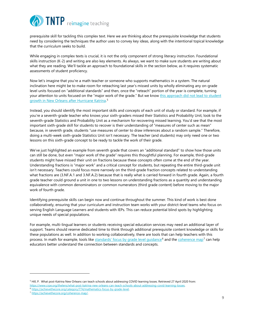

prerequisite skill for tackling this complex text. Here we are thinking about the prerequisite knowledge that students need by considering the techniques the author uses to convey key ideas, along with the intentional topical knowledge that the curriculum seeks to build.

While engaging in complex texts is crucial, it is not the only component of strong literacy instruction. Foundational skills instruction (K-2) and writing are also key elements. As always, we want to make sure students are writing about what they are reading. We'll tackle an approach to foundational skills in the section below, as it requires systematic assessments of student proficiency.

Now let's imagine that you're a math teacher or someone who supports mathematics in a system. The natural inclination here might be to make room for reteaching last year's missed units by wholly eliminating any on-grade level units focused on "additional standards" and then, once the "reteach" portion of the year is complete, turning your attention to units focused on the "major work of the grade." But we know this approach did not lead to student growth in New Orleans after Hurricane Katrina. 5

Instead, you should identify the most important skills and concepts of each unit of study or standard. For example, if you're a seventh-grade teacher who knows your sixth-graders missed their Statistics and Probability Unit, look to the seventh-grade Statistics and Probability Unit as a mechanism for recovering missed learning. You'd see that the most important sixth-grade skill for students to recover is their understanding of "measures of center such as mean" because, in seventh grade, students "use measures of center to draw inferences about a random sample." Therefore, doing a multi-week sixth-grade Statistics Unit isn't necessary. The teacher (and students) may only need one or two lessons on this sixth-grade concept to be ready to tackle the work of their grade.

We've just highlighted an example from seventh grade that covers an "additional standard" to show how those units can still be done, but even "major work of the grade" requires this thoughtful planning. For example, third-grade students might have missed their unit on fractions because these concepts often come at the end of the year. Understanding fractions is "major work" and a critical concept for students, but repeating the entire third-grade unit isn't necessary. Teachers could focus more narrowly on the third-grade fraction concepts related to understanding what fractions are (3.NF.A.1 and 3.NF.A.2) because that is really what is carried forward in fourth grade. Again, a fourth grade teacher could ground a unit in one to two lessons on understanding fractions as a quantity and understanding equivalence with common denominators or common numerators (third grade content) before moving to the major work of fourth grade.

Identifying prerequisite skills can begin now and continue throughout the summer. This kind of work is best done collaboratively, ensuring that your curriculum and instruction team works with your district-level teams who focus on serving English Language Learners and students with IEPs. This can reduce potential blind spots by highlighting unique needs of special populations.

For example, multi-lingual learners or students receiving special education services may need an additional layer of support. Teams should reserve dedicated time to think through additional prerequisite content knowledge or skills for these populations as well. In addition to working collaboratively, there are tools that can help teachers with this process. In math for example, tools like standards' focus by grade level guidance<sup>6</sup> and the coherence map<sup>7</sup> can help educators better understand the connection between standards and concepts.

<sup>&</sup>lt;sup>5</sup> Hill, P. What post-Katrina New Orleans can teach schools about addressing COVID learning losses. Retrieved 27 April 2020 from: https://www.crpe.org/thelens/what-post-katrina-new-orleans-can-teach-schools-about-addressing-covid-learning-losses.

<sup>6</sup> https://achievethecore.org/category/774/mathematics-focus-by-grade-level. 7 https://achievethecore.org/coherence-map/.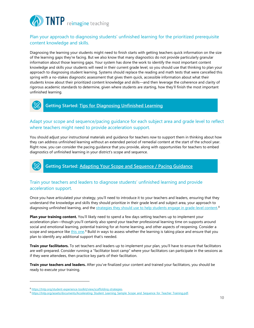

#### Plan your approach to diagnosing students' unfinished learning for the prioritized prerequisite content knowledge and skills.

Diagnosing the learning your students might need to finish starts with getting teachers quick information on the size of the learning gaps they're facing. But we also know that many diagnostics do not provide particularly granular information about those learning gaps. Your system has done the work to identify the most important content knowledge and skills your students will need in their current grade level, so you should use that thinking to plan your approach to diagnosing student learning. Systems should replace the reading and math tests that were cancelled this spring with a no-stakes diagnostic assessment that gives them quick, accessible information about what their students know about their prioritized content knowledge and skills—and then leverage the coherence and clarity of rigorous academic standards to determine, given where students are starting, how they'll finish the most important unfinished learning.



#### **Getting Started: Tips for Diagnosing Unfinished Learning**

#### Adapt your scope and sequence/pacing guidance for each subject area and grade level to reflect where teachers might need to provide acceleration support.

You should adjust your instructional materials and guidance for teachers *now* to support them in thinking about how they can address unfinished learning without an extended period of remedial content at the start of the school year. Right now, you can consider the pacing guidance that you provide, along with opportunities for teachers to embed diagnostics of unfinished learning in your district's scope and sequence.

#### **Getting Started: Adapting Your Scope and Sequence / Pacing Guidance**

#### Train your teachers and leaders to diagnose students' unfinished learning and provide acceleration support.

Once you have articulated your strategy, you'll need to introduce it to your teachers and leaders, ensuring that they understand the knowledge and skills they should prioritize in their grade level and subject area, your approach to diagnosing unfinished learning, and the strategies they should use to help students engage in grade-level content.<sup>8</sup>

**Plan your training content.** You'll likely need to spend a few days setting teachers up to implement your acceleration plan—though you'll certainly also spend your teacher professional learning time on supports around social and emotional learning, potential training for at-home learning, and other aspects of reopening. Consider a scope and sequence like <u>this one</u>.<sup>9</sup> Build in ways to assess whether the learning is taking place and ensure that you plan to identify any additional support that's needed.

**Train your facilitators.** To set teachers and leaders up to implement your plan, you'll have to ensure that facilitators are well-prepared. Consider running a "facilitator boot camp" where your facilitators can participate in the sessions as if they were attendees, then practice key parts of their facilitation.

**Train your teachers and leaders.** After you've finalized your content and trained your facilitators, you should be ready to execute your training.

<sup>&</sup>lt;sup>8</sup> https://tntp.org/student-experience-toolkit/view/scaffolding-strategies. 9 https://tntp.org/assets/documents/Accelerating\_Student\_Learning\_Sample\_Scope\_and\_Sequence\_for\_Teacher\_Training.pdf.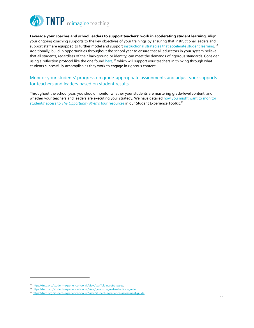

**Leverage your coaches and school leaders to support teachers' work in accelerating student learning.** Align your ongoing coaching supports to the key objectives of your trainings by ensuring that instructional leaders and support staff are equipped to further model and support instructional strategies that accelerate student learning.<sup>10</sup> Additionally, build in opportunities throughout the school year to ensure that all educators in your system believe that all students, regardless of their background or identity, can meet the demands of rigorous standards. Consider using a reflection protocol like the one found <u>here</u>,<sup>11</sup> which will support your teachers in thinking through what students successfully accomplish as they work to engage in rigorous content.

#### Monitor your students' progress on grade-appropriate assignments and adjust your supports for teachers and leaders based on student results.

Throughout the school year, you should monitor whether your students are mastering grade-level content, and whether your teachers and leaders are executing your strategy. We have detailed how you might want to monitor students' access to *The Opportunity Myth's four resources* in our Student Experience Toolkit.<sup>12</sup>

<sup>&</sup>lt;sup>10</sup>https://tntp.org/student-experience-toolkit/view/scaffolding-strategies.<br><sup>11</sup>https://tntp.org/student-experience-toolkit/view/good-to-great-reflection-guide.<br><sup>12</sup>https://tntp.org/student-experience-toolkit/view/student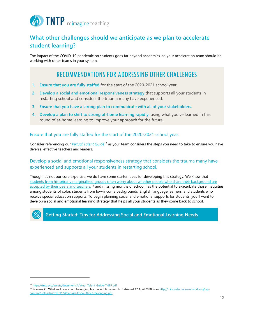

#### **What other challenges should we anticipate as we plan to accelerate student learning?**

The impact of the COVID-19 pandemic on students goes far beyond academics, so your acceleration team should be working with other teams in your system.

#### RECOMMENDATIONS FOR ADDRESSING OTHER CHALLENGES

- **1. Ensure that you are fully staffed** for the start of the 2020-2021 school year.
- **2. Develop a social and emotional responsiveness strategy** that supports all your students in restarting school and considers the trauma many have experienced.
- **3. Ensure that you have a strong plan to communicate with all of your stakeholders.**
- **4. Develop a plan to shift to strong at-home learning rapidly,** using what you've learned in this round of at-home learning to improve your approach for the future.

#### Ensure that you are fully staffed for the start of the 2020-2021 school year.

Consider referencing our *Virtual Talent Guide*<sup>13</sup> as your team considers the steps you need to take to ensure you have diverse, effective teachers and leaders.

#### Develop a social and emotional responsiveness strategy that considers the trauma many have experienced and supports all your students in restarting school.

Though it's not our core expertise, we do have some starter ideas for developing this strategy. We know that students from historically marginalized groups often worry about whether people who share their background are accepted by their peers and teachers,<sup>14</sup> and missing months of school has the potential to exacerbate those inequities among students of color, students from low-income backgrounds, English language learners, and students who receive special education supports. To begin planning social and emotional supports for students, you'll want to develop a social and emotional learning strategy that helps all your students as they come back to school.



**Getting Started: Tips for Addressing Social and Emotional Learning Needs**

<sup>&</sup>lt;sup>13</sup> https://tntp.org/assets/documents/Virtual\_Talent\_Guide-TNTP.pdf.<br><sup>14</sup> Romero, C. What we know about belonging from scientific research. Retrieved 17 April 2020 from <u>http://mindsetscholarsnetwork.org/wp-</u> content/uploads/2018/11/What-We-Know-About-Belonging.pdf.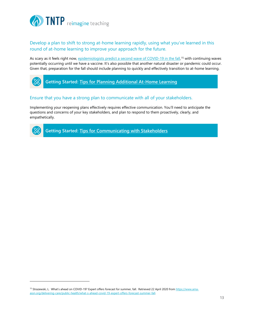

Develop a plan to shift to strong at-home learning rapidly, using what you've learned in this round of at-home learning to improve your approach for the future.

As scary as it feels right now, <u>epidemiologists predict a second wave of COVID-19 in the fall</u>,<sup>15</sup> with continuing waves potentially occurring until we have a vaccine. It's also possible that another natural disaster or pandemic could occur. Given that, preparation for the fall should include planning to quickly and effectively transition to at-home learning.



#### Ensure that you have a strong plan to communicate with all of your stakeholders.

Implementing your reopening plans effectively requires effective communication. You'll need to anticipate the questions and concerns of your key stakeholders, and plan to respond to them proactively, clearly, and empathetically.



**Getting Started: Tips for Communicating with Stakeholders**

<sup>&</sup>lt;sup>15</sup> Strazewski, L. What's ahead on COVID-19? Expert offers forecast for summer, fall. Retrieved 22 April 2020 from https://www.amaassn.org/delivering-care/public-health/what-s-ahead-covid-19-expert-offers-forecast-summer-fall.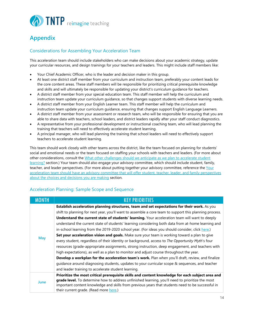

#### **Appendix**

#### Considerations for Assembling Your Acceleration Team

This acceleration team should include stakeholders who can make decisions about your academic strategy, update your curricular resources, and design trainings for your teachers and leaders. This might include staff members like:

- Your Chief Academic Officer, who is the leader and decision maker in this group.
- At least one district staff member from your curriculum and instruction team, preferably your content leads for the core content areas. These staff members will be responsible for prioritizing critical prerequisite knowledge and skills and will ultimately be responsible for updating your district's curriculum guidance for teachers.
- A district staff member from your special education team. This staff member will help the curriculum and instruction team update your curriculum guidance, so that changes support students with diverse learning needs.
- A district staff member from your English Learner team. This staff member will help the curriculum and instruction team update your curriculum guidance, ensuring that changes support English Language Learners.
- A district staff member from your assessment or research team, who will be responsible for ensuring that you are able to share data with teachers, school leaders, and district leaders rapidly after your staff conduct diagnostics.
- A representative from your professional development or instructional coaching team, who will lead planning the training that teachers will need to effectively accelerate student learning.
- A principal manager, who will lead planning the training that school leaders will need to effectively support teachers to accelerate student learning.

This team should work closely with other teams across the district, like the team focused on planning for students' social and emotional needs or the team focused on staffing your schools with teachers and leaders. (For more about other considerations, consult the What other challenges should we anticipate as we plan to accelerate student learning? section.) Your team should also engage your advisory committee, which should include student, family, teacher, and leader perspectives. (For more about putting together your advisory committee, reference the Your acceleration team should have an advisory committee that will offer student, teacher, leader, and family perspectives about the choices and decisions you are making section.

#### Acceleration Planning: Sample Scope and Sequence

| <b>MONTH</b> | <b>KEY PRIORITIES</b>                                                                                  |
|--------------|--------------------------------------------------------------------------------------------------------|
| May          | Establish acceleration planning structures, team and set expectations for their work. As you           |
|              | shift to planning for next year, you'll want to assemble a core team to support this planning process. |
|              | Understand the current state of students' learning. Your acceleration team will want to deeply         |
|              | understand the current state of students' learning considering both data from at-home learning and     |
|              | in-school learning from the 2019-2020 school year. (For ideas you should consider, click here.)        |
|              | Set your acceleration vision and goals. Make sure your team is working toward a plan to give           |
|              | every student, regardless of their identity or background, access to The Opportunity Myth's four       |
|              | resources (grade-appropriate assignments, strong instruction, deep engagement, and teachers with       |
|              | high expectations), as well as a plan to monitor and adjust course throughout the year.                |
|              | Develop a workplan for the acceleration team's work. Plan when you'll draft, review, and finalize      |
|              | guidance around diagnosing students, updates to your curricular scope & sequences, and teacher         |
|              | and leader training to accelerate student learning.                                                    |
| June         | Prioritize the most critical prerequisite skills and content knowledge for each subject area and       |
|              | grade level. To determine how to address unfinished learning, you'll need to prioritize the most       |
|              | important content knowledge and skills from previous years that students need to be successful in      |
|              | their current grade. (Read more here.)                                                                 |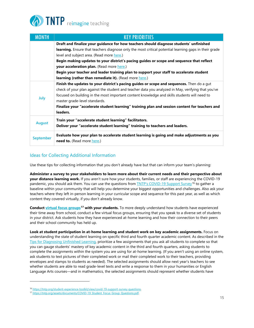## **DENTP** reimagine teaching

| <b>MONTH</b>     | <b>KEY PRIORITIES</b>                                                                                 |
|------------------|-------------------------------------------------------------------------------------------------------|
|                  | Draft and finalize your guidance for how teachers should diagnose students' unfinished                |
|                  | learning. Ensure that teachers diagnose only the most critical potential learning gaps in their grade |
|                  | level and subject area. (Read more here.)                                                             |
|                  | Begin making updates to your district's pacing guides or scope and sequence that reflect              |
|                  | your acceleration plan. (Read more here.)                                                             |
|                  | Begin your teacher and leader training plan to support your staff to accelerate student               |
|                  | <b>learning (rather than remediate it).</b> (Read more here.)                                         |
| July             | Finish the updates to your district's pacing guides or scope and sequences. Then do a gut             |
|                  | check of your plan against the student and teacher data you analyzed in May, verifying that you've    |
|                  | focused on building in the most important content knowledge and skills students will need to          |
|                  | master grade-level standards.                                                                         |
|                  | Finalize your "accelerate student learning" training plan and session content for teachers and        |
|                  | leaders.                                                                                              |
| August           | Train your "accelerate student learning" facilitators.                                                |
|                  | Deliver your "accelerate student learning" training to teachers and leaders.                          |
| <b>September</b> | Evaluate how your plan to accelerate student learning is going and make adjustments as you            |
|                  | need to. (Read more here.)                                                                            |

#### Ideas for Collecting Additional Information

Use these tips for collecting information that you don't already have but that can inform your team's planning:

**Administer a survey to your stakeholders to learn more about their current needs and their perspective about your distance learning work.** If you aren't sure how your students, families, or staff are experiencing the COVID-19 pandemic, you should ask them. You can use the questions from TNTP's COVID-19 Support Survey<sup>16</sup> to gather a baseline within your community that will help you determine your biggest opportunities and challenges. Also ask your teachers where they left in-person learning in your curricular scope and sequence for this past year, as well as which content they covered virtually, if you don't already know.

**Conduct virtual focus groups17 with your students.** To more deeply understand how students have experienced their time away from school, conduct a few virtual focus groups, ensuring that you speak to a diverse set of students in your district. Ask students how they have experienced at-home learning and how their connection to their peers and their school community has held up.

**Look at student participation in at-home learning and student work on key academic assignments.** Focus on understanding the state of student learning on specific third and fourth quarter academic content. As described in the Tips for Diagnosing Unfinished Learning, prioritize a few assignments that you ask all students to complete so that you can gauge students' mastery of key academic content in the third and fourth quarters, asking students to complete the assignments within the system you are using for at-home learning. (If you aren't using an online system, ask students to text pictures of their completed work or mail their completed work to their teachers, providing envelopes and stamps to students as needed). The selected assignments should allow next year's teachers to see whether students are able to read grade-level texts and write a response to them in your humanities or English Language Arts courses—and in mathematics, the selected assignments should represent whether students have

<sup>&</sup>lt;sup>16</sup> https://tntp.org/student-experience-toolkit/view/covid-19-support-survey-questions.<br><sup>17</sup> https://tntp.org/assets/documents/COVID-19\_Student\_Focus\_Group\_Questions.pdf.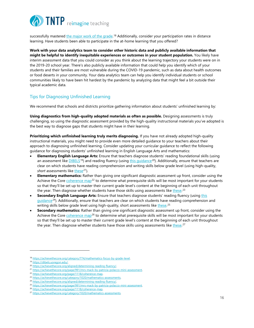

successfully mastered <u>the major work of the grade.</u> <sup>18</sup> Additionally, consider your participation rates in distance learning. Have students been able to participate in the at-home learning that you offered?

**Work with your data analytics team to consider other historic data and publicly available information that might be helpful to identify inequitable experiences or outcomes in your student population.** You likely have interim assessment data that you could consider as you think about the learning trajectory your students were on in the 2019-20 school year. There's also publicly available information that could help you identify which of your students and their families are most vulnerable during the COVID-19 pandemic, such as data about health outcomes or food deserts in your community. Your data analytics team can help you identify individual students or school communities likely to have been hit hardest by the pandemic by analyzing data that might feel a bit outside their typical academic data.

#### Tips for Diagnosing Unfinished Learning

We recommend that schools and districts prioritize gathering information about students' unfinished learning by:

**Using diagnostics from high-quality adopted materials as often as possible.** Designing assessments is truly challenging, so using the diagnostic assessment provided by the high-quality instructional materials you've adopted is the best way to diagnose gaps that students might have in their learning.

**Prioritizing which unfinished learning truly merits diagnosing.** If you have not already adopted high-quality instructional materials, you might need to provide even more detailed guidance to your teachers about their approach to diagnosing unfinished learning. Consider updating your curricular guidance to reflect the following guidance for diagnosing students' unfinished learning in English Language Arts and mathematics:

- **Elementary English Language Arts:** Ensure that teachers diagnose students' reading foundational skills (using an assessment like **DIBELS<sup>19</sup>) and reading fluency (using this quidance**<sup>20</sup>). Additionally, ensure that teachers are clear on which students have reading comprehension and writing skills below grade level (using high-quality, *short* assessments like these<sup>21</sup>).
- **Elementary mathematics:** Rather than giving one significant diagnostic assessment up front, consider using the Achieve the Core *coherence map*<sup>22</sup> to determine what prerequisite skills will be most important for your students so that they'll be set up to master their current grade level's content at the beginning of each unit throughout the year. Then diagnose whether students have those skills using assessments like <u>these. 23</u>
- **Secondary English Language Arts:** Ensure that teachers diagnose students' reading fluency (using this guidance<sup>24</sup>). Additionally, ensure that teachers are clear on which students have reading comprehension and writing skills below grade level using high-quality, short assessments like <u>these.</u><sup>25</sup>
- **Secondary mathematics:** Rather than giving one significant diagnostic assessment up front, consider using the Achieve the Core *coherence map*<sup>26</sup> to determine what prerequisite skills will be most important for your students so that they'll be set up to master their current grade level's content at the beginning of each unit throughout the year. Then diagnose whether students have those skills using assessments like <u>these.</u><sup>27</sup>

<sup>&</sup>lt;sup>18</sup>https://achievethecore.org/category/774/mathematics-focus-by-grade-level.<br><sup>19</sup>https://achievethecore.org/aligned/determining-reading-fluency/.<br><sup>21</sup>https://achievethecore.org/page/991/mrs-mack-by-patricia-polacco-mini-a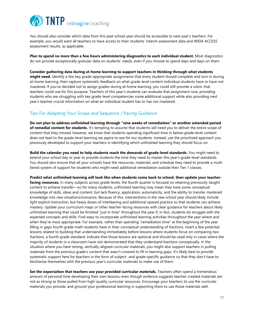

You should also consider which data from this past school year should be accessible to next year's teachers. For example, you would want all teachers to have access to their students' interim assessment data and WIDA ACCESS assessment results, as applicable.

**Plan to spend no more than a few hours administering diagnostics to each individual student.** Most diagnostics do not provide exceptionally granular data on students' needs, even if you choose to spend days and days on them.

**Consider gathering data during at-home learning to support teachers in thinking through what students might need.** Identify a few key grade-appropriate assignments that every student should complete and turn in during at-home learning, then capture systematic feedback on what grade-level content individual students have or have not mastered. If you've decided not to assign grades during at-home learning, you could still provide a rubric that teachers could use for this purpose. Teachers of this year's students can evaluate that assignment now, providing students who are struggling with key grade-level competencies some additional support while also providing next year's teacher crucial information on what an individual student has or has not mastered.

#### Tips For Adapting Your Scope and Sequence / Pacing Guidance

**Do not plan to address unfinished learning through "nine weeks of remediation" or another extended period of remedial content for students.** It's tempting to assume that students will need you to deliver the entire scope of content that they missed; however, we know that students spending significant time in below-grade-level content does not lead to the grade-level learning we aspire to see for our students. Instead, use the prioritized approach you previously developed to support your teachers in identifying which unfinished learning they should focus on.

**Build the calendar you need to help students reach the demands of grade-level standards.** You might need to extend your school day or year to provide students the time they need to master this year's grade-level standards. You should also ensure that all your schools have the resources, materials, and schedule they need to provide a multitiered system of support for students who might need additional remediation outside their Tier 1 classes.

**Predict what unfinished learning will look like when students come back to school, then update your teacherfacing resources.** In many subjects across grade levels, the fourth quarter is focused on retaining previously-taught content to achieve transfer—so for many students, unfinished learning may mean they have some conceptual knowledge of skills, ideas and content, but lack fluency, application, automaticity, and the ability to transfer mastered knowledge into new situations/scenarios. Because of this, interventions in the new school year should likely include light explicit instruction, but heavy doses of interleaving and additional spaced practice so that students can achieve mastery. Update your curriculum maps or other teacher-facing resources with clear guidance for teachers about likely unfinished learning that could be finished "just in time" throughout the year if, in fact, students do struggle with the expected concepts and skills. Find ways to incorporate unfinished learning activities throughout the year where and when they're most appropriate. For example, rather than spending "remediation time" at the beginning of the year filling in gaps fourth grade math students have in their conceptual understanding of fractions, insert a few potential lessons related to building that understanding immediately before lessons where students focus on comparing two fractions, a fourth grade standard. Indicate that those lessons are optional and should be used only in cases where the majority of students in a classroom have not demonstrated that they understand fractions conceptually. In the situation where you have strong, vertically-aligned curricular materials, you might also support teachers in pulling materials from the previous grade's content that wasn't covered to fill in learning gaps. It's likely best to provide systematic support here for teachers in the form of subject- and grade-specific guidance so that they don't have to familiarize themselves with the previous year's curricular materials to make use of them.

**Set the expectation that teachers use your provided curricular materials.** Teachers often spend a tremendous amount of personal time developing their own lessons, even though evidence suggests teacher-created materials are not as strong as those pulled from high-quality curricular resources. Encourage your teachers to use the curricular materials you provide, and ground your professional learning in supporting them to use those materials well.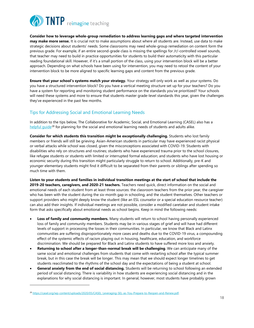

**Consider how to leverage whole-group remediation to address learning gaps and where targeted intervention may make more sense.** It is crucial not to make assumptions about where all students are. Instead, use data to make strategic decisions about students' needs. Some classrooms may need whole-group remediation on content form the previous grade. For example, if an entire second-grade class is missing the spellings for /r/-controlled vowel sounds, that teacher may need to build in practice opportunities for students to build their automaticity with this particular reading foundational skill. However, if it's a small portion of the class, using your intervention block will be a better approach. Depending on what schools have been using for intervention, you may need to retool the content of your intervention block to be more aligned to specific learning gaps and content from the previous grade.

**Ensure that your school's systems match your strategy.** Your strategy will only work as well as your systems. Do you have a structured intervention block? Do you have a vertical meeting structure set up for your teachers? Do you have a system for reporting and monitoring student performance on the standards you've prioritized? Your schools will need these systems and more to ensure that students master grade-level standards this year, given the challenges they've experienced in the past few months.

#### Tips for Addressing Social and Emotional Learning Needs

In addition to the tips below, The Collaborative for Academic, Social, and Emotional Learning (CASEL) also has a helpful quide<sup>28</sup> for planning for the social and emotional learning needs of students and adults alike.

**Consider for which students this transition might be exceptionally challenging.** Students who lost family members or friends will still be grieving. Asian-American students in particular may have experienced racist physical or verbal attacks while school was closed, given the misconceptions associated with COVID-19. Students with disabilities who rely on structures and routines; students who have experienced trauma prior to the school closures, like refugee students or students with limited or interrupted formal education; and students who have lost housing or economic security during this transition might particularly struggle to return to school. Additionally, pre-K and younger elementary students might find it difficult to be separated from their parents or siblings after spending so much time with them.

**Listen to your students and families in individual transition meetings at the start of school that include the 2019-20 teachers, caregivers, and 2020-21 teachers.** Teachers need quick, direct information on the social and emotional needs of each student from at least three sources: the classroom teachers from the prior year, the caregiver who has been with the student during the six-month gap in schooling, and the student themselves. Other teachers or support providers who might deeply know the student (like an ESL counselor or a special education resource teacher) can also add their insights. If individual meetings are not possible, consider a modified caretaker and student intake form that asks specifically about emotional needs as school begins. Keep in mind the following needs:

- **Loss of family and community members.** Many students will return to school having personally experienced loss of family and community members. Students may be in various stages of grief and will have had different levels of support in processing the losses in their communities. In particular, we know that Black and Latinx communities are suffering disproportionately more cases and deaths due to the COVID-19 virus, a compounding effect of the systemic effects of racism playing out in housing, healthcare, education, and workforce discrimination. We should be prepared for Black and Latinx students to have suffered more loss and anxiety.
- **Returning to school after a longer-than-normal break will be challenging**. We can anticipate many of the same social and emotional challenges from students that come with restarting school after the typical summer break, but in this case the break will be longer. This may mean that we should expect longer timelines to get students reacclimated to the rhythms of the school day and the expectations of being a student at school.
- **General anxiety from the end of social distancing.** Students will be returning to school following an extended period of social distancing. There is variability in how students are experiencing social distancing and in the explanations for why social distancing is important. In general, however, most students have probably grown

<sup>28</sup> https://casel.org/wp-content/uploads/2020/05/CASEL\_Leveraging-SEL-as-You-Prepare-to-Reopen-and-Renew.pdf.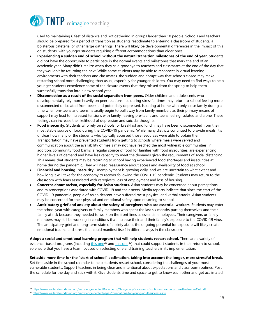

used to maintaining 6 feet of distance and not gathering in groups larger than 10 people. Schools and teachers should be prepared for a period of transition as students reacclimate to entering a classroom of students, a boisterous cafeteria, or other large gatherings. There will likely be developmental differences in the impact of this on students, with younger students requiring different accommodations than older ones.

- **Experiencing a sudden end of school without the natural transition milestones of the end of year.** Students did not have the opportunity to participate in the normal events and milestones that mark the end of an academic year. Many didn't realize when they said goodbye to teachers and classmates at the end of the day that they wouldn't be returning the next. While some students may be able to reconnect in virtual learning environments with their teachers and classmates, the sudden and abrupt way that schools closed may make restarting school more challenging than usual, especially for younger children. You may need to find ways to help younger students experience some of the closure events that they missed from the spring to help them successfully transition into a new school year.
- **Disconnection as a result of the social separation from peers.** Older children and adolescents who developmentally rely more heavily on peer relationships during stressful times may return to school feeling more disconnected or isolated from peers and potentially depressed. Isolating at home with only close family during a time when pre-teens and teens naturally begin to pull away from family members as their primary means of support may lead to increased tensions with family, leaving pre-teens and teens feeling isolated and alone. These feelings can increase the likelihood of depression and suicidal thoughts.
- **Food insecurity.** Students who rely on schools for breakfast and lunch may have been disconnected from their most stable source of food during the COVID-19 pandemic. While many districts continued to provide meals, it's unclear how many of the students who typically accessed those resources were able to obtain them. Transportation may have prevented students from getting to schools where meals were served and communication about the availability of meals may not have reached the most vulnerable communities. In addition, community food banks, a regular source of food for families with food insecurities, are experiencing higher levels of demand and have less capacity to meet the demands given the requirements of social distancing. This means that students may be returning to school having experienced food shortages and insecurities at home during the pandemic. They will need reassurance about access and availability of food at school.
- **Financial and housing insecurity.** Unemployment is growing daily, and we are uncertain to what extent and how long it will take for the economy to recover following the COVID-19 pandemic. Students may return to the classroom with fears associated with caregivers' loss of employment and loss of housing.
- **Concerns about racism, especially for Asian students.** Asian students may be concerned about perceptions and misconceptions associated with COVID-19 and their peers. Media reports indicate that since the start of the COVID-19 pandemic, people of Asian descent have suffered racist physical and verbal attacks. Asian students may be concerned for their physical and emotional safety upon returning to school.
- **Anticipatory grief and anxiety about the safety of caregivers who are essential workers**. Students may enter the school year with caregivers or family members who spent the last six months putting themselves and their family at risk because they needed to work on the front lines as essential employees. Their caregivers or family members may still be working in conditions that increase their and their family's exposure to the COVID-19 virus. The anticipatory grief and long-term state of anxiety about the ongoing potential for exposure will likely create emotional trauma and stress that could manifest itself in different ways in the classroom.

**Adopt a social and emotional learning program that will help students restart school.** There are a variety of evidence-based programs (including this one<sup>29</sup> and this one<sup>30</sup>) that could support students in their return to school, so ensure that you have a team focused on selecting one and training teachers in its implementation.

**Set aside more time for the "start of school" acclimation, taking into account the longer, more stressful break.**  Set time aside in the school calendar to help students restart school, considering the challenges of your most vulnerable students. Support teachers in being clear and intentional about expectations and classroom routines. Post the schedule for the day and stick with it. Give students time and space to get to know each other and get acclimated

<sup>&</sup>lt;sup>29</sup>https://www.wallacefoundation.org/knowledge-center/Documents/Navigating-Social-and-Emotional-Learning-from-the-Inside-Out.pdf.<br><sup>30</sup>https://www.wallacefoundation.org/knowledge-center/pages/foundations-for-young-adult-su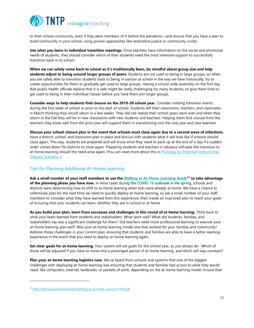

to their school community, even if they were members of it before the pandemic—and ensure that you have a plan to build community in your school, using proven approaches like restorative justice or community circles.

**Use what you learn in individual transition meetings.** Once teachers have information on the social and emotional needs of students, they should consider which of their students need the most intensive support to successfully transition back in to school.

**When we can safely come back to school as it's traditionally been, be mindful about group size and help students adjust to being around larger groups of peers.** Students are not used to being in large groups, so when you are safely able to transition students back to being in-person at school in the way we have historically, try to create opportunities for them to gradually get used to large groups. Having a school-wide assembly on the first day that public health officials believe that it is safe might be really challenging for many students, so give them time to get used to being in their individual classes before you have them join larger groups.

**Consider ways to help students find closure on the 2019-20 school year.** Consider holding transition events during the first week of school or prior to the start of school. Students left their classrooms, teachers, and classmates in March thinking they would return in a few weeks. They did not realize their school years were over and when they return in the Fall they will be in new classrooms with new students and teachers. Helping them find closure from the teachers they knew well from the prior year will support them in transitioning into the new year and new teachers.

**Discuss your school closure plan in the event that schools must close again due to a second wave of infections.** Have a district, school, and classroom plan in place and discuss with students what it will look like if schools should close again. This way, students are prepared and will know what they need to pack up at the end of a day if a sudden order comes down for districts to close again. Preparing students and teachers in advance will ease the transition to at-home learning should the need arise again. (You can read more about this in Planning for Potential Instructional Delivery Scenarios.)

#### Tips for Planning Additional At-Home Learning

**Ask a small number of your staff members to use the** *Shifting to At-Home Learning Guide***<sup>31</sup> to take advantage of the planning phase you have now.** In most cases during the COVID-19 outbreak in the spring, schools and districts were determining how to shift to at-home learning when kids were already at home. We have a chance to collectively plan for the next time we need to quickly deploy at-home learning, so ask a small number of your staff members to consider what they have learned from this experience, then create an improved plan to reach your goals of ensuring that your students can learn, whether they are in school or at home.

**As you build your plan, learn from successes and challenges in this round of at-home learning.** Think back to what your team learned from students and stakeholders. What went well? What did students, families, and stakeholders say was a significant challenge for them? Did teachers need more professional learning to execute your at-home learning plan well? Was your at-home learning model one that worked for your families and community? Address those challenges in your current plan, ensuring that students and families are able to have a better learning experience in the event that you need to deploy at-home learning again.

**Set clear goals for at-home learning.** Your system will set goals for the school year, as you always do. Which of those will be adjusted if you have to move into a prolonged period of at-home learning, and which will stay constant?

**Plan your at-home learning logistics now.** We've heard from schools and systems that one of the biggest challenges with deploying at-home learning was ensuring that students and families had access to what they would need, like computers, internet, textbooks, or packets of work, depending on the at-home learning model. Ensure that

<sup>31</sup> https://tntp.org/assets/documents/Shifting\_to\_At-Home\_Learning-TNTP.pdf.